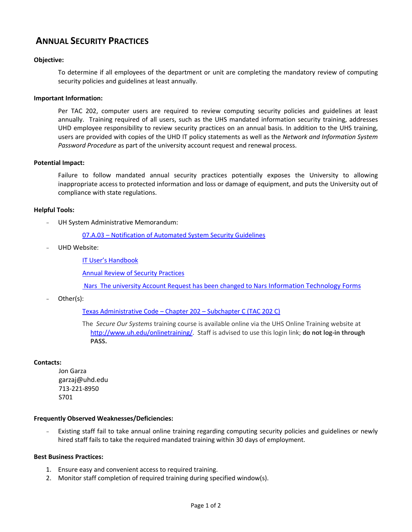# **ANNUAL SECURITY PRACTICES**

# **Objective:**

To determine if all employees of the department or unit are completing the mandatory review of computing security policies and guidelines at least annually.

#### **Important Information:**

Per TAC 202, computer users are required to review computing security policies and guidelines at least annually. Training required of all users, such as the UHS mandated information security training, addresses UHD employee responsibility to review security practices on an annual basis. In addition to the UHS training, users are provided with copies of the UHD IT policy statements as well as the *Network and Information System Password Procedure* as part of the university account request and renewal process.

## **Potential Impact:**

Failure to follow mandated annual security practices potentially exposes the University to allowing inappropriate access to protected information and loss or damage of equipment, and puts the University out of compliance with state regulations.

## **Helpful Tools:**

UH System Administrative Memorandum:

07.A.03 – [Notification of Automated System Security Guidelines](http://www.uhsa.uh.edu/sam/7InfoServices/7A3.pdf)

UHD Website:

[IT User's Handbook](http://www.uhd.edu/computing/policies/it_users_handbook.html)

[Annual Review of Security Practices](http://www.uhd.edu/computing/policies/documents/ITUsersHandbook.pdf#page=30)

Nars The university Account Request has been changed to Nars [Information Technology Forms](http://www.uhd.edu/computing/helpdesk/forms.html#general_access)

Other(s):

[Texas Administrative Code](http://info.sos.state.tx.us/pls/pub/readtac$ext.ViewTAC?tac_view=5&ti=1&pt=10&ch=202&sch=C&rl=Y) – Chapter 202 – Subchapter C (TAC 202 C)

The *Secure Our Systems* training course is available online via the UHS Online Training website at [http://www.uh.edu/onlinetraining/.](http://www.uh.edu/onlinetraining/) Staff is advised to use this login link; **do not log-in through PASS.**

#### **Contacts:**

Jon Garza garzaj@uhd.edu 713-221-8950 S701

#### **Frequently Observed Weaknesses/Deficiencies:**

Existing staff fail to take annual online training regarding computing security policies and guidelines or newly hired staff fails to take the required mandated training within 30 days of employment.

#### **Best Business Practices:**

- 1. Ensure easy and convenient access to required training.
- 2. Monitor staff completion of required training during specified window(s).